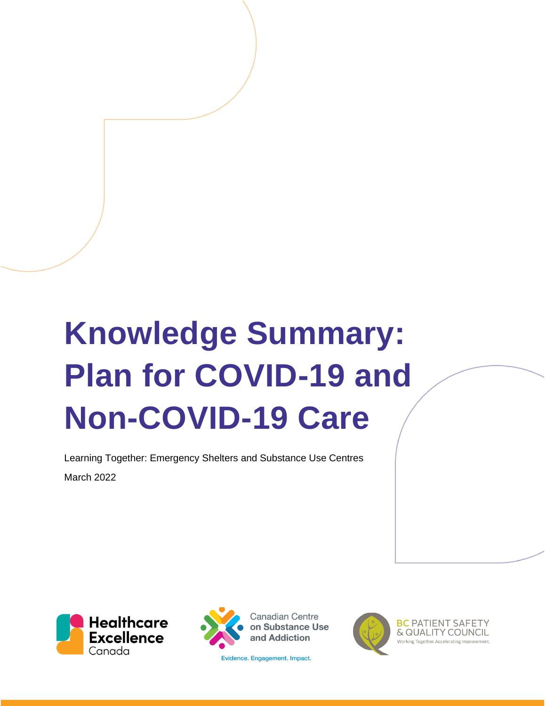# **Knowledge Summary: Plan for COVID-19 and Non-COVID-19 Care**

Learning Together: Emergency Shelters and Substance Use Centres March 2022





**Canadian Centre** on Substance Use and Addiction

Evidence. Engagement. Impact.



**BC PATIENT SAFETY** & QUALITY COUNCIL Working Together, Accelerating Improv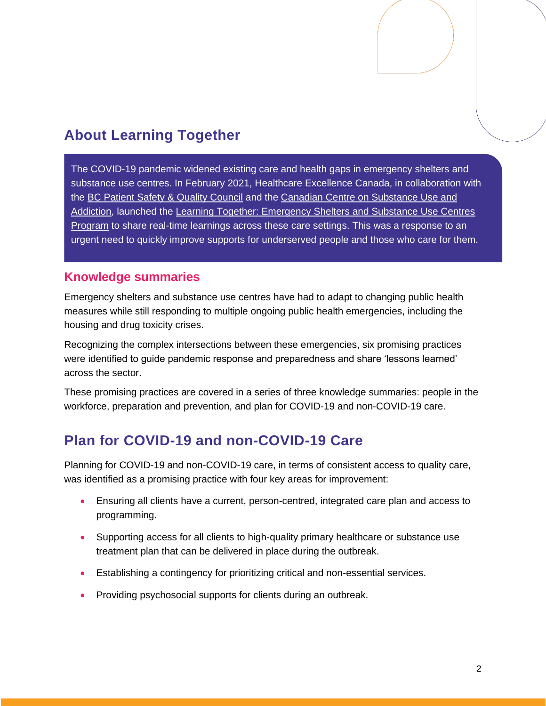# **About Learning Together**

The COVID-19 pandemic widened existing care and health gaps in emergency shelters and substance use centres. In February 2021, [Healthcare Excellence Canada,](https://www.healthcareexcellence.ca/) in collaboration with the [BC Patient Safety & Quality Council](https://bcpsqc.ca/) and the [Canadian Centre on Substance Use and](https://www.ccsa.ca/)  [Addiction,](https://www.ccsa.ca/) launched the [Learning Together: Emergency Shelters and Substance Use Centres](https://www.healthcareexcellence.ca/en/what-we-do/what-we-do-together/learning-together-emergency-shelters-and-substance-use-centres/)  [Program](https://www.healthcareexcellence.ca/en/what-we-do/what-we-do-together/learning-together-emergency-shelters-and-substance-use-centres/) to share real-time learnings across these care settings. This was a response to an urgent need to quickly improve supports for underserved people and those who care for them.

### **Knowledge summaries**

Emergency shelters and substance use centres have had to adapt to changing public health measures while still responding to multiple ongoing public health emergencies, including the housing and drug toxicity crises.

Recognizing the complex intersections between these emergencies, six promising practices were identified to guide pandemic response and preparedness and share 'lessons learned' across the sector.

These promising practices are covered in a series of three knowledge summaries: people in the workforce, preparation and prevention, and plan for COVID-19 and non-COVID-19 care.

# **Plan for COVID-19 and non-COVID-19 Care**

Planning for COVID-19 and non-COVID-19 care, in terms of consistent access to quality care, was identified as a promising practice with four key areas for improvement:

- Ensuring all clients have a current, person-centred, integrated care plan and access to programming.
- Supporting access for all clients to high-quality primary healthcare or substance use treatment plan that can be delivered in place during the outbreak.
- Establishing a contingency for prioritizing critical and non-essential services.
- Providing psychosocial supports for clients during an outbreak.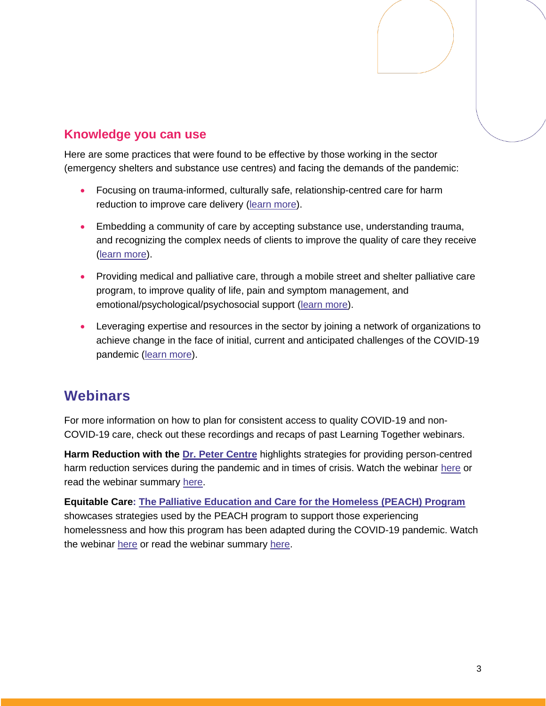## **Knowledge you can use**

Here are some practices that were found to be effective by those working in the sector (emergency shelters and substance use centres) and facing the demands of the pandemic:

- Focusing on trauma-informed, culturally safe, relationship-centred care for harm reduction to improve care delivery [\(learn more\)](https://www.youtube.com/watch?v=Mj2REcUvoWE&list=PLXppU70IRw-GhOb7cPGZli0VlGzomBxP0&index=5).
- Embedding a community of care by accepting substance use, understanding trauma, and recognizing the complex needs of clients to improve the quality of care they receive [\(learn more\)](https://www.youtube.com/watch?v=Mj2REcUvoWE&list=PLXppU70IRw-GhOb7cPGZli0VlGzomBxP0&index=5).
- Providing medical and palliative care, through a mobile street and shelter palliative care program, to improve quality of life, pain and symptom management, and emotional/psychological/psychosocial support [\(learn more\)](https://www.youtube.com/watch?app=desktop&v=3NfBDfIBhwY).
- Leveraging expertise and resources in the sector by joining a network of organizations to achieve change in the face of initial, current and anticipated challenges of the COVID-19 pandemic [\(learn more\)](https://www.youtube.com/watch?v=J5nt70hG-dg&list=PLXppU70IRw-GhOb7cPGZli0VlGzomBxP0&index=9).

# **Webinars**

For more information on how to plan for consistent access to quality COVID-19 and non-COVID-19 care, check out these recordings and recaps of past Learning Together webinars.

**Harm Reduction with the [Dr. Peter Centre](https://www.drpeter.org/)** highlights strategies for providing person-centred harm reduction services during the pandemic and in times of crisis. Watch the webinar [here](https://www.youtube.com/watch?v=Mj2REcUvoWE&list=PLXppU70IRw-GhOb7cPGZli0VlGzomBxP0&index=5) or read the webinar summary [here.](https://www.healthcareexcellence.ca/media/hechh3aj/harmreduction_webinar_synopsis-en.pdf)

**Equitable Care: [The Palliative Education and Care for the Homeless \(PEACH\) Program](https://www.icha-toronto.ca/programs/peach-palliative-education-and-care-for-the-homeless)** showcases strategies used by the PEACH program to support those experiencing homelessness and how this program has been adapted during the COVID-19 pandemic. Watch the webinar [here](https://www.youtube.com/watch?app=desktop&v=3NfBDfIBhwY) or read the webinar summary [here.](https://www.healthcareexcellence.ca/media/21onx0q2/final-oct15-webinar-ltsummary-en.pdf)